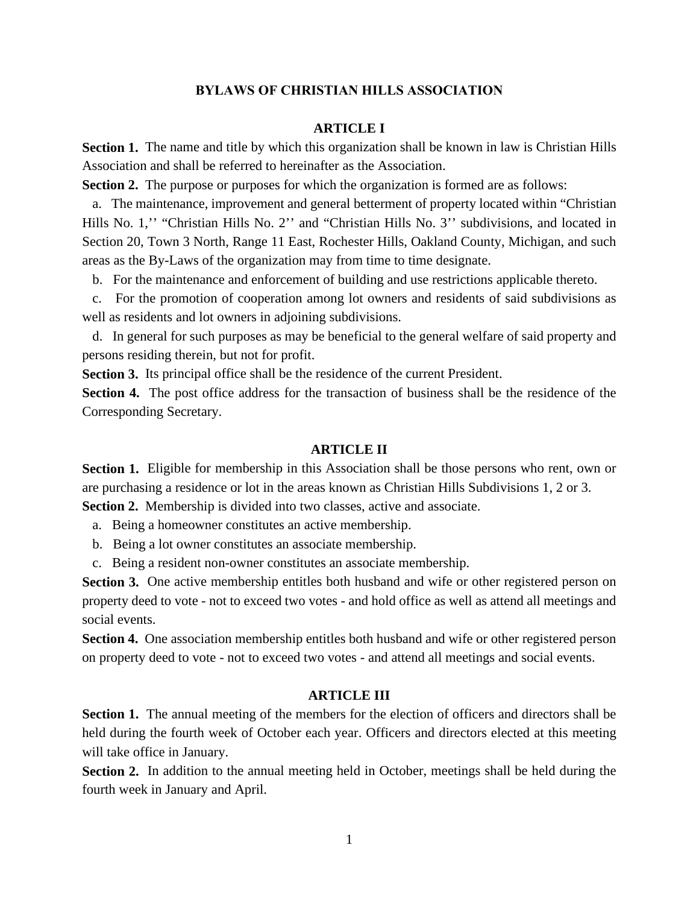## **BYLAWS OF CHRISTIAN HILLS ASSOCIATION**

## **ARTICLE I**

**Section 1.** The name and title by which this organization shall be known in law is Christian Hills Association and shall be referred to hereinafter as the Association.

**Section 2.** The purpose or purposes for which the organization is formed are as follows:

 a. The maintenance, improvement and general betterment of property located within "Christian Hills No. 1," "Christian Hills No. 2" and "Christian Hills No. 3" subdivisions, and located in Section 20, Town 3 North, Range 11 East, Rochester Hills, Oakland County, Michigan, and such areas as the By-Laws of the organization may from time to time designate.

b. For the maintenance and enforcement of building and use restrictions applicable thereto.

 c. For the promotion of cooperation among lot owners and residents of said subdivisions as well as residents and lot owners in adjoining subdivisions.

 d. In general for such purposes as may be beneficial to the general welfare of said property and persons residing therein, but not for profit.

**Section 3.** Its principal office shall be the residence of the current President.

**Section 4.** The post office address for the transaction of business shall be the residence of the Corresponding Secretary.

#### **ARTICLE II**

**Section 1.** Eligible for membership in this Association shall be those persons who rent, own or are purchasing a residence or lot in the areas known as Christian Hills Subdivisions 1, 2 or 3.

**Section 2.** Membership is divided into two classes, active and associate.

a. Being a homeowner constitutes an active membership.

- b. Being a lot owner constitutes an associate membership.
- c. Being a resident non-owner constitutes an associate membership.

**Section 3.** One active membership entitles both husband and wife or other registered person on property deed to vote - not to exceed two votes - and hold office as well as attend all meetings and social events.

**Section 4.** One association membership entitles both husband and wife or other registered person on property deed to vote - not to exceed two votes - and attend all meetings and social events.

### **ARTICLE III**

**Section 1.** The annual meeting of the members for the election of officers and directors shall be held during the fourth week of October each year. Officers and directors elected at this meeting will take office in January.

**Section 2.** In addition to the annual meeting held in October, meetings shall be held during the fourth week in January and April.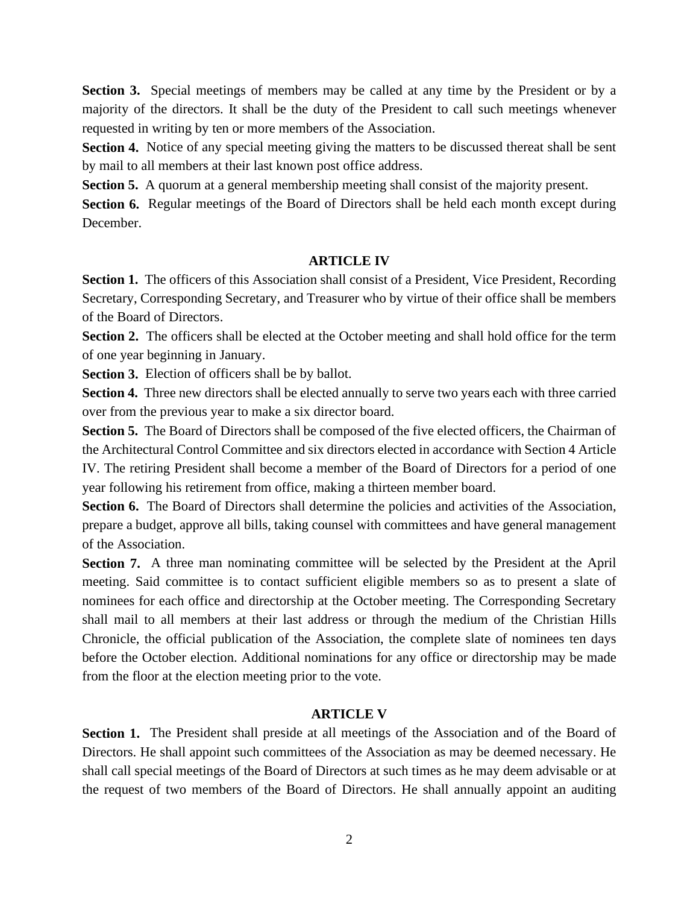**Section 3.** Special meetings of members may be called at any time by the President or by a majority of the directors. It shall be the duty of the President to call such meetings whenever requested in writing by ten or more members of the Association.

**Section 4.** Notice of any special meeting giving the matters to be discussed thereat shall be sent by mail to all members at their last known post office address.

**Section 5.** A quorum at a general membership meeting shall consist of the majority present.

**Section 6.** Regular meetings of the Board of Directors shall be held each month except during December.

#### **ARTICLE IV**

**Section 1.** The officers of this Association shall consist of a President, Vice President, Recording Secretary, Corresponding Secretary, and Treasurer who by virtue of their office shall be members of the Board of Directors.

**Section 2.** The officers shall be elected at the October meeting and shall hold office for the term of one year beginning in January.

**Section 3.** Election of officers shall be by ballot.

**Section 4.** Three new directors shall be elected annually to serve two years each with three carried over from the previous year to make a six director board.

**Section 5.** The Board of Directors shall be composed of the five elected officers, the Chairman of the Architectural Control Committee and six directors elected in accordance with Section 4 Article IV. The retiring President shall become a member of the Board of Directors for a period of one year following his retirement from office, making a thirteen member board.

**Section 6.** The Board of Directors shall determine the policies and activities of the Association, prepare a budget, approve all bills, taking counsel with committees and have general management of the Association.

**Section 7.** A three man nominating committee will be selected by the President at the April meeting. Said committee is to contact sufficient eligible members so as to present a slate of nominees for each office and directorship at the October meeting. The Corresponding Secretary shall mail to all members at their last address or through the medium of the Christian Hills Chronicle, the official publication of the Association, the complete slate of nominees ten days before the October election. Additional nominations for any office or directorship may be made from the floor at the election meeting prior to the vote.

## **ARTICLE V**

Section 1. The President shall preside at all meetings of the Association and of the Board of Directors. He shall appoint such committees of the Association as may be deemed necessary. He shall call special meetings of the Board of Directors at such times as he may deem advisable or at the request of two members of the Board of Directors. He shall annually appoint an auditing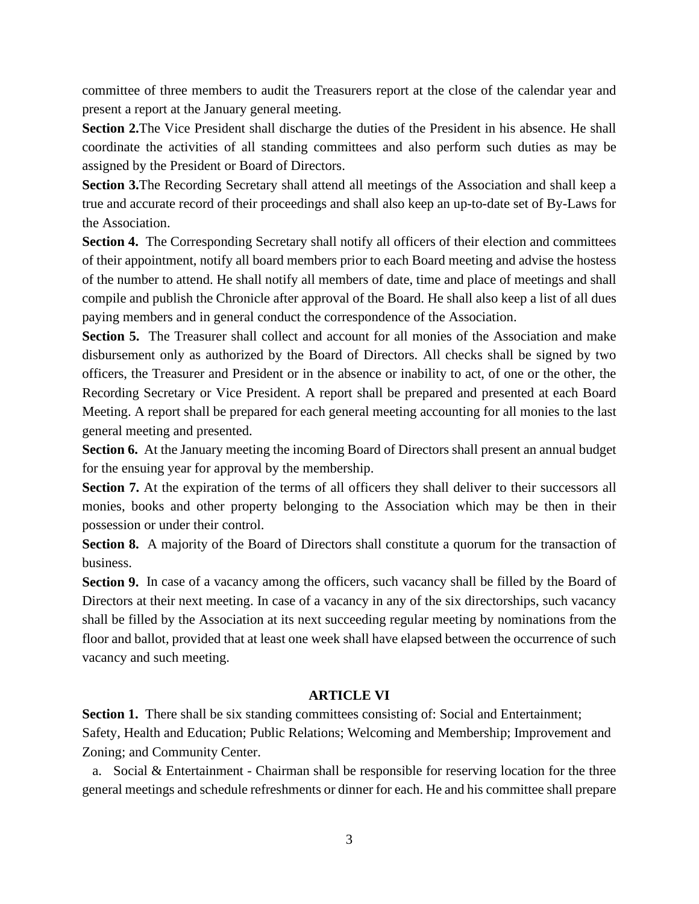committee of three members to audit the Treasurers report at the close of the calendar year and present a report at the January general meeting.

**Section 2.**The Vice President shall discharge the duties of the President in his absence. He shall coordinate the activities of all standing committees and also perform such duties as may be assigned by the President or Board of Directors.

**Section 3.**The Recording Secretary shall attend all meetings of the Association and shall keep a true and accurate record of their proceedings and shall also keep an up-to-date set of By-Laws for the Association.

**Section 4.** The Corresponding Secretary shall notify all officers of their election and committees of their appointment, notify all board members prior to each Board meeting and advise the hostess of the number to attend. He shall notify all members of date, time and place of meetings and shall compile and publish the Chronicle after approval of the Board. He shall also keep a list of all dues paying members and in general conduct the correspondence of the Association.

**Section 5.** The Treasurer shall collect and account for all monies of the Association and make disbursement only as authorized by the Board of Directors. All checks shall be signed by two officers, the Treasurer and President or in the absence or inability to act, of one or the other, the Recording Secretary or Vice President. A report shall be prepared and presented at each Board Meeting. A report shall be prepared for each general meeting accounting for all monies to the last general meeting and presented.

**Section 6.** At the January meeting the incoming Board of Directors shall present an annual budget for the ensuing year for approval by the membership.

**Section 7.** At the expiration of the terms of all officers they shall deliver to their successors all monies, books and other property belonging to the Association which may be then in their possession or under their control.

**Section 8.** A majority of the Board of Directors shall constitute a quorum for the transaction of business.

**Section 9.** In case of a vacancy among the officers, such vacancy shall be filled by the Board of Directors at their next meeting. In case of a vacancy in any of the six directorships, such vacancy shall be filled by the Association at its next succeeding regular meeting by nominations from the floor and ballot, provided that at least one week shall have elapsed between the occurrence of such vacancy and such meeting.

## **ARTICLE VI**

**Section 1.** There shall be six standing committees consisting of: Social and Entertainment; Safety, Health and Education; Public Relations; Welcoming and Membership; Improvement and Zoning; and Community Center.

 a. Social & Entertainment - Chairman shall be responsible for reserving location for the three general meetings and schedule refreshments or dinner for each. He and his committee shall prepare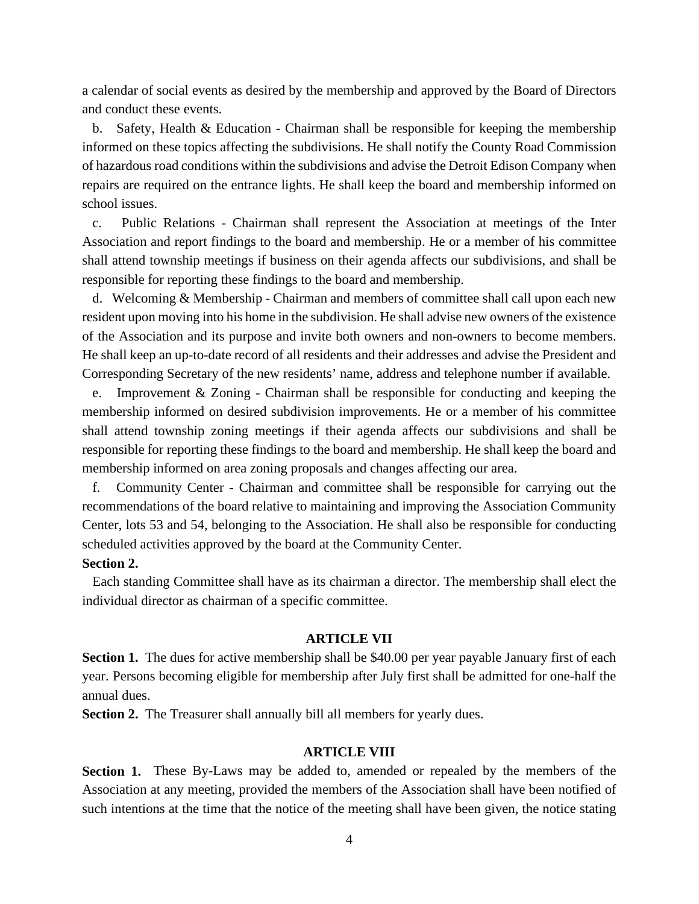a calendar of social events as desired by the membership and approved by the Board of Directors and conduct these events.

 b. Safety, Health & Education - Chairman shall be responsible for keeping the membership informed on these topics affecting the subdivisions. He shall notify the County Road Commission of hazardous road conditions within the subdivisions and advise the Detroit Edison Company when repairs are required on the entrance lights. He shall keep the board and membership informed on school issues.

 c. Public Relations - Chairman shall represent the Association at meetings of the Inter Association and report findings to the board and membership. He or a member of his committee shall attend township meetings if business on their agenda affects our subdivisions, and shall be responsible for reporting these findings to the board and membership.

 d. Welcoming & Membership - Chairman and members of committee shall call upon each new resident upon moving into his home in the subdivision. He shall advise new owners of the existence of the Association and its purpose and invite both owners and non-owners to become members. He shall keep an up-to-date record of all residents and their addresses and advise the President and Corresponding Secretary of the new residents' name, address and telephone number if available.

 e. Improvement & Zoning - Chairman shall be responsible for conducting and keeping the membership informed on desired subdivision improvements. He or a member of his committee shall attend township zoning meetings if their agenda affects our subdivisions and shall be responsible for reporting these findings to the board and membership. He shall keep the board and membership informed on area zoning proposals and changes affecting our area.

 f. Community Center - Chairman and committee shall be responsible for carrying out the recommendations of the board relative to maintaining and improving the Association Community Center, lots 53 and 54, belonging to the Association. He shall also be responsible for conducting scheduled activities approved by the board at the Community Center.

## **Section 2.**

 Each standing Committee shall have as its chairman a director. The membership shall elect the individual director as chairman of a specific committee.

### **ARTICLE VII**

**Section 1.** The dues for active membership shall be \$40.00 per year payable January first of each year. Persons becoming eligible for membership after July first shall be admitted for one-half the annual dues.

**Section 2.** The Treasurer shall annually bill all members for yearly dues.

#### **ARTICLE VIII**

**Section 1.** These By-Laws may be added to, amended or repealed by the members of the Association at any meeting, provided the members of the Association shall have been notified of such intentions at the time that the notice of the meeting shall have been given, the notice stating